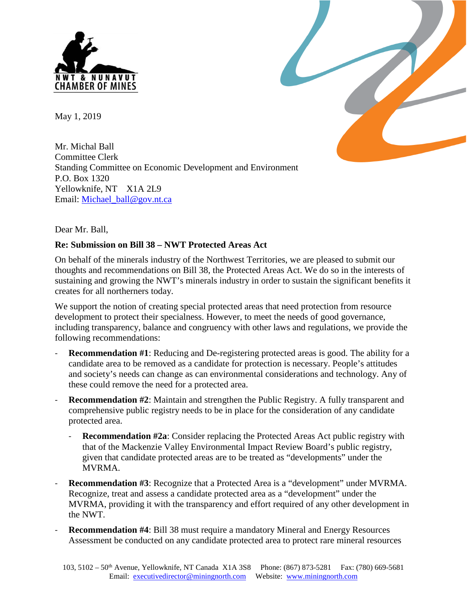

May 1, 2019

Mr. Michal Ball Committee Clerk Standing Committee on Economic Development and Environment P.O. Box 1320 Yellowknife, NT X1A 2L9 Email: [Michael\\_ball@gov.nt.ca](mailto:Michael_ball@gov.nt.ca)



#### **Re: Submission on Bill 38 – NWT Protected Areas Act**

On behalf of the minerals industry of the Northwest Territories, we are pleased to submit our thoughts and recommendations on Bill 38, the Protected Areas Act. We do so in the interests of sustaining and growing the NWT's minerals industry in order to sustain the significant benefits it creates for all northerners today.

We support the notion of creating special protected areas that need protection from resource development to protect their specialness. However, to meet the needs of good governance, including transparency, balance and congruency with other laws and regulations, we provide the following recommendations:

- **Recommendation #1**: Reducing and De-registering protected areas is good. The ability for a candidate area to be removed as a candidate for protection is necessary. People's attitudes and society's needs can change as can environmental considerations and technology. Any of these could remove the need for a protected area.
- **Recommendation #2**: Maintain and strengthen the Public Registry. A fully transparent and comprehensive public registry needs to be in place for the consideration of any candidate protected area.
	- **Recommendation #2a**: Consider replacing the Protected Areas Act public registry with that of the Mackenzie Valley Environmental Impact Review Board's public registry, given that candidate protected areas are to be treated as "developments" under the MVRMA.
- **Recommendation #3**: Recognize that a Protected Area is a "development" under MVRMA. Recognize, treat and assess a candidate protected area as a "development" under the MVRMA, providing it with the transparency and effort required of any other development in the NWT.
- **Recommendation #4**: Bill 38 must require a mandatory Mineral and Energy Resources Assessment be conducted on any candidate protected area to protect rare mineral resources

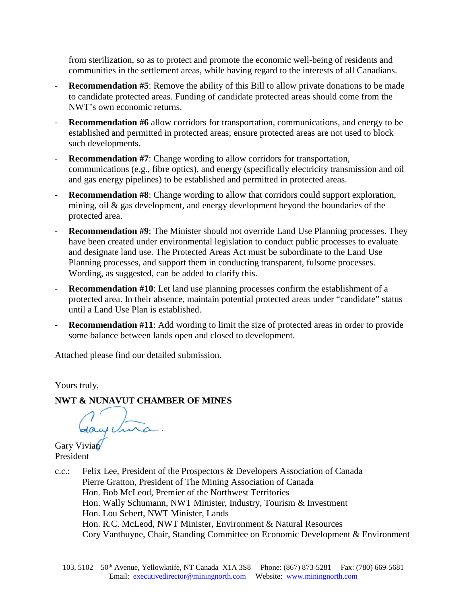from sterilization, so as to protect and promote the economic well-being of residents and communities in the settlement areas, while having regard to the interests of all Canadians.

- **Recommendation #5**: Remove the ability of this Bill to allow private donations to be made to candidate protected areas. Funding of candidate protected areas should come from the NWT's own economic returns.
- **Recommendation #6** allow corridors for transportation, communications, and energy to be established and permitted in protected areas; ensure protected areas are not used to block such developments.
- **Recommendation #7**: Change wording to allow corridors for transportation, communications (e.g., fibre optics), and energy (specifically electricity transmission and oil and gas energy pipelines) to be established and permitted in protected areas.
- **Recommendation #8**: Change wording to allow that corridors could support exploration, mining, oil & gas development, and energy development beyond the boundaries of the protected area.
- **Recommendation #9:** The Minister should not override Land Use Planning processes. They have been created under environmental legislation to conduct public processes to evaluate and designate land use. The Protected Areas Act must be subordinate to the Land Use Planning processes, and support them in conducting transparent, fulsome processes. Wording, as suggested, can be added to clarify this.
- **Recommendation #10**: Let land use planning processes confirm the establishment of a protected area. In their absence, maintain potential protected areas under "candidate" status until a Land Use Plan is established.
- **Recommendation #11**: Add wording to limit the size of protected areas in order to provide some balance between lands open and closed to development.

Attached please find our detailed submission.

Yours truly,

**NWT & NUNAVUT CHAMBER OF MINES** 

Gayetura

Gary Vivian President

c.c.: Felix Lee, President of the Prospectors & Developers Association of Canada Pierre Gratton, President of The Mining Association of Canada Hon. Bob McLeod, Premier of the Northwest Territories Hon. Wally Schumann, NWT Minister, Industry, Tourism & Investment Hon. Lou Sebert, NWT Minister, Lands Hon. R.C. McLeod, NWT Minister, Environment & Natural Resources Cory Vanthuyne, Chair, Standing Committee on Economic Development & Environment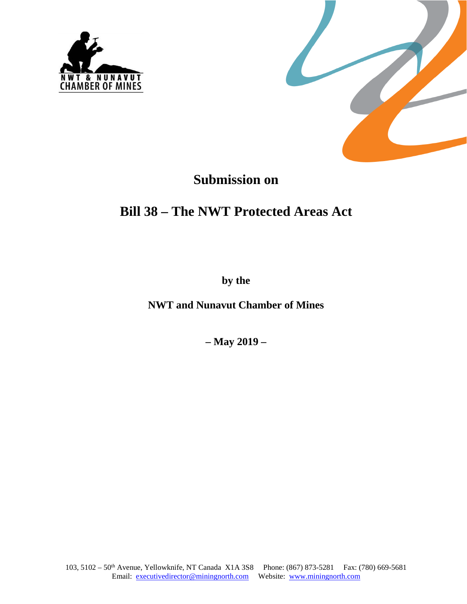



# **Submission on**

# **Bill 38 – The NWT Protected Areas Act**

**by the** 

**NWT and Nunavut Chamber of Mines** 

**– May 2019 –**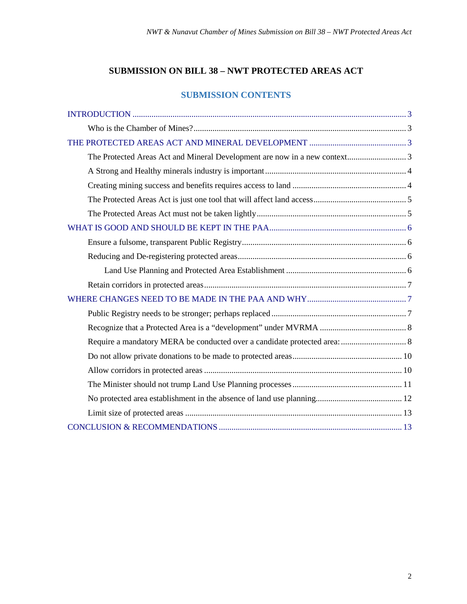## **SUBMISSION ON BILL 38 – NWT PROTECTED AREAS ACT**

### **SUBMISSION CONTENTS**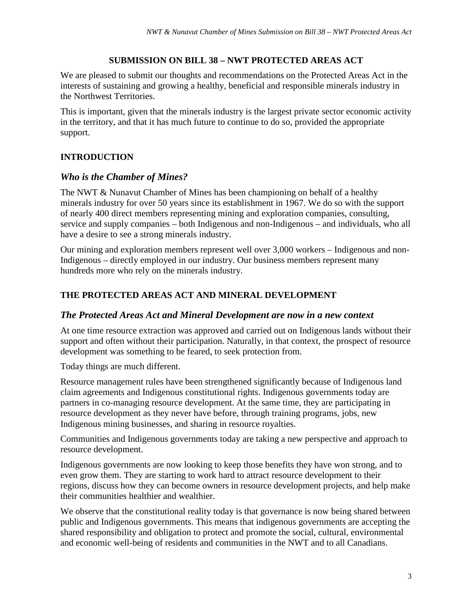## **SUBMISSION ON BILL 38 – NWT PROTECTED AREAS ACT**

We are pleased to submit our thoughts and recommendations on the Protected Areas Act in the interests of sustaining and growing a healthy, beneficial and responsible minerals industry in the Northwest Territories.

This is important, given that the minerals industry is the largest private sector economic activity in the territory, and that it has much future to continue to do so, provided the appropriate support.

# <span id="page-4-0"></span>**INTRODUCTION**

# <span id="page-4-1"></span>*Who is the Chamber of Mines?*

The NWT & Nunavut Chamber of Mines has been championing on behalf of a healthy minerals industry for over 50 years since its establishment in 1967. We do so with the support of nearly 400 direct members representing mining and exploration companies, consulting, service and supply companies – both Indigenous and non-Indigenous – and individuals, who all have a desire to see a strong minerals industry.

Our mining and exploration members represent well over 3,000 workers – Indigenous and non-Indigenous – directly employed in our industry. Our business members represent many hundreds more who rely on the minerals industry.

# <span id="page-4-2"></span>**THE PROTECTED AREAS ACT AND MINERAL DEVELOPMENT**

## <span id="page-4-3"></span>*The Protected Areas Act and Mineral Development are now in a new context*

At one time resource extraction was approved and carried out on Indigenous lands without their support and often without their participation. Naturally, in that context, the prospect of resource development was something to be feared, to seek protection from.

Today things are much different.

Resource management rules have been strengthened significantly because of Indigenous land claim agreements and Indigenous constitutional rights. Indigenous governments today are partners in co-managing resource development. At the same time, they are participating in resource development as they never have before, through training programs, jobs, new Indigenous mining businesses, and sharing in resource royalties.

Communities and Indigenous governments today are taking a new perspective and approach to resource development.

Indigenous governments are now looking to keep those benefits they have won strong, and to even grow them. They are starting to work hard to attract resource development to their regions, discuss how they can become owners in resource development projects, and help make their communities healthier and wealthier.

We observe that the constitutional reality today is that governance is now being shared between public and Indigenous governments. This means that indigenous governments are accepting the shared responsibility and obligation to protect and promote the social, cultural, environmental and economic well-being of residents and communities in the NWT and to all Canadians.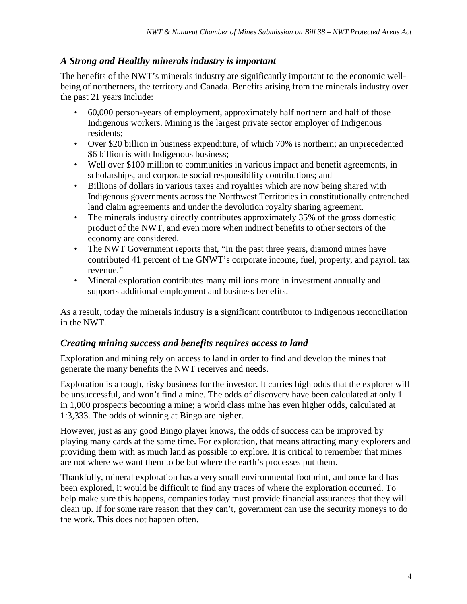# <span id="page-5-0"></span>*A Strong and Healthy minerals industry is important*

The benefits of the NWT's minerals industry are significantly important to the economic wellbeing of northerners, the territory and Canada. Benefits arising from the minerals industry over the past 21 years include:

- 60,000 person-years of employment, approximately half northern and half of those Indigenous workers. Mining is the largest private sector employer of Indigenous residents;
- Over \$20 billion in business expenditure, of which 70% is northern; an unprecedented \$6 billion is with Indigenous business;
- Well over \$100 million to communities in various impact and benefit agreements, in scholarships, and corporate social responsibility contributions; and
- Billions of dollars in various taxes and royalties which are now being shared with Indigenous governments across the Northwest Territories in constitutionally entrenched land claim agreements and under the devolution royalty sharing agreement.
- The minerals industry directly contributes approximately 35% of the gross domestic product of the NWT, and even more when indirect benefits to other sectors of the economy are considered.
- The NWT Government reports that, "In the past three years, diamond mines have contributed 41 percent of the GNWT's corporate income, fuel, property, and payroll tax revenue."
- Mineral exploration contributes many millions more in investment annually and supports additional employment and business benefits.

As a result, today the minerals industry is a significant contributor to Indigenous reconciliation in the NWT.

# <span id="page-5-1"></span>*Creating mining success and benefits requires access to land*

Exploration and mining rely on access to land in order to find and develop the mines that generate the many benefits the NWT receives and needs.

Exploration is a tough, risky business for the investor. It carries high odds that the explorer will be unsuccessful, and won't find a mine. The odds of discovery have been calculated at only 1 in 1,000 prospects becoming a mine; a world class mine has even higher odds, calculated at 1:3,333. The odds of winning at Bingo are higher.

However, just as any good Bingo player knows, the odds of success can be improved by playing many cards at the same time. For exploration, that means attracting many explorers and providing them with as much land as possible to explore. It is critical to remember that mines are not where we want them to be but where the earth's processes put them.

Thankfully, mineral exploration has a very small environmental footprint, and once land has been explored, it would be difficult to find any traces of where the exploration occurred. To help make sure this happens, companies today must provide financial assurances that they will clean up. If for some rare reason that they can't, government can use the security moneys to do the work. This does not happen often.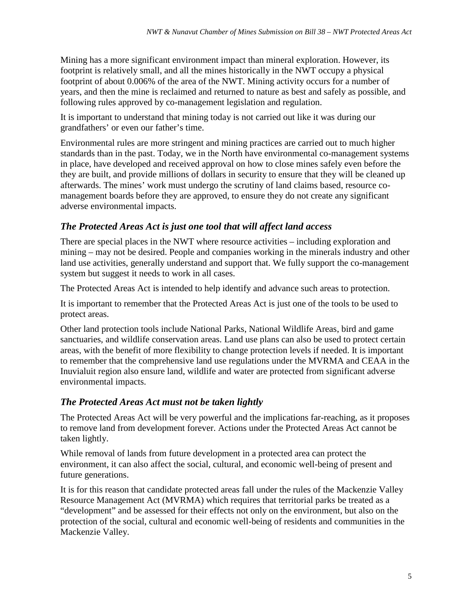Mining has a more significant environment impact than mineral exploration. However, its footprint is relatively small, and all the mines historically in the NWT occupy a physical footprint of about 0.006% of the area of the NWT. Mining activity occurs for a number of years, and then the mine is reclaimed and returned to nature as best and safely as possible, and following rules approved by co-management legislation and regulation.

It is important to understand that mining today is not carried out like it was during our grandfathers' or even our father's time.

Environmental rules are more stringent and mining practices are carried out to much higher standards than in the past. Today, we in the North have environmental co-management systems in place, have developed and received approval on how to close mines safely even before the they are built, and provide millions of dollars in security to ensure that they will be cleaned up afterwards. The mines' work must undergo the scrutiny of land claims based, resource comanagement boards before they are approved, to ensure they do not create any significant adverse environmental impacts.

# <span id="page-6-0"></span>*The Protected Areas Act is just one tool that will affect land access*

There are special places in the NWT where resource activities – including exploration and mining – may not be desired. People and companies working in the minerals industry and other land use activities, generally understand and support that. We fully support the co-management system but suggest it needs to work in all cases.

The Protected Areas Act is intended to help identify and advance such areas to protection.

It is important to remember that the Protected Areas Act is just one of the tools to be used to protect areas.

Other land protection tools include National Parks, National Wildlife Areas, bird and game sanctuaries, and wildlife conservation areas. Land use plans can also be used to protect certain areas, with the benefit of more flexibility to change protection levels if needed. It is important to remember that the comprehensive land use regulations under the MVRMA and CEAA in the Inuvialuit region also ensure land, wildlife and water are protected from significant adverse environmental impacts.

# <span id="page-6-1"></span>*The Protected Areas Act must not be taken lightly*

The Protected Areas Act will be very powerful and the implications far-reaching, as it proposes to remove land from development forever. Actions under the Protected Areas Act cannot be taken lightly.

While removal of lands from future development in a protected area can protect the environment, it can also affect the social, cultural, and economic well-being of present and future generations.

It is for this reason that candidate protected areas fall under the rules of the Mackenzie Valley Resource Management Act (MVRMA) which requires that territorial parks be treated as a "development" and be assessed for their effects not only on the environment, but also on the protection of the social, cultural and economic well-being of residents and communities in the Mackenzie Valley.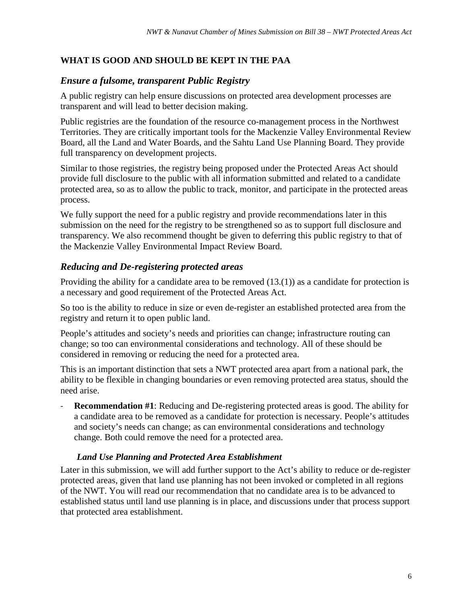## <span id="page-7-0"></span>**WHAT IS GOOD AND SHOULD BE KEPT IN THE PAA**

#### <span id="page-7-1"></span>*Ensure a fulsome, transparent Public Registry*

A public registry can help ensure discussions on protected area development processes are transparent and will lead to better decision making.

Public registries are the foundation of the resource co-management process in the Northwest Territories. They are critically important tools for the Mackenzie Valley Environmental Review Board, all the Land and Water Boards, and the Sahtu Land Use Planning Board. They provide full transparency on development projects.

Similar to those registries, the registry being proposed under the Protected Areas Act should provide full disclosure to the public with all information submitted and related to a candidate protected area, so as to allow the public to track, monitor, and participate in the protected areas process.

We fully support the need for a public registry and provide recommendations later in this submission on the need for the registry to be strengthened so as to support full disclosure and transparency. We also recommend thought be given to deferring this public registry to that of the Mackenzie Valley Environmental Impact Review Board.

## <span id="page-7-2"></span>*Reducing and De-registering protected areas*

Providing the ability for a candidate area to be removed  $(13.(1))$  as a candidate for protection is a necessary and good requirement of the Protected Areas Act.

So too is the ability to reduce in size or even de-register an established protected area from the registry and return it to open public land.

People's attitudes and society's needs and priorities can change; infrastructure routing can change; so too can environmental considerations and technology. All of these should be considered in removing or reducing the need for a protected area.

This is an important distinction that sets a NWT protected area apart from a national park, the ability to be flexible in changing boundaries or even removing protected area status, should the need arise.

- **Recommendation #1**: Reducing and De-registering protected areas is good. The ability for a candidate area to be removed as a candidate for protection is necessary. People's attitudes and society's needs can change; as can environmental considerations and technology change. Both could remove the need for a protected area.

#### <span id="page-7-3"></span>*Land Use Planning and Protected Area Establishment*

Later in this submission, we will add further support to the Act's ability to reduce or de-register protected areas, given that land use planning has not been invoked or completed in all regions of the NWT. You will read our recommendation that no candidate area is to be advanced to established status until land use planning is in place, and discussions under that process support that protected area establishment.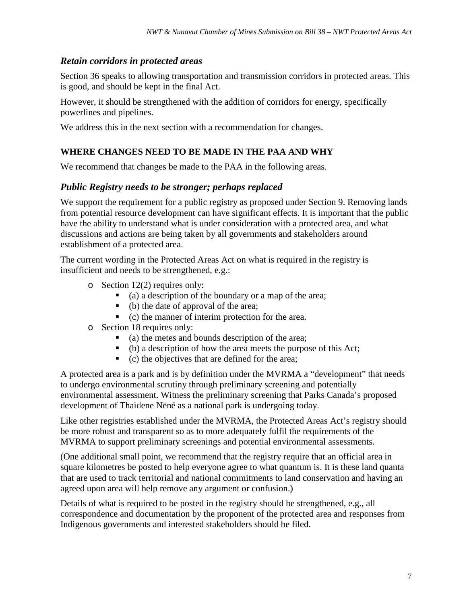# <span id="page-8-0"></span>*Retain corridors in protected areas*

Section 36 speaks to allowing transportation and transmission corridors in protected areas. This is good, and should be kept in the final Act.

However, it should be strengthened with the addition of corridors for energy, specifically powerlines and pipelines.

We address this in the next section with a recommendation for changes.

# <span id="page-8-1"></span>**WHERE CHANGES NEED TO BE MADE IN THE PAA AND WHY**

We recommend that changes be made to the PAA in the following areas.

## <span id="page-8-2"></span>*Public Registry needs to be stronger; perhaps replaced*

We support the requirement for a public registry as proposed under Section 9. Removing lands from potential resource development can have significant effects. It is important that the public have the ability to understand what is under consideration with a protected area, and what discussions and actions are being taken by all governments and stakeholders around establishment of a protected area.

The current wording in the Protected Areas Act on what is required in the registry is insufficient and needs to be strengthened, e.g.:

- o Section 12(2) requires only:
	- (a) a description of the boundary or a map of the area;
	- (b) the date of approval of the area;
	- (c) the manner of interim protection for the area.
- o Section 18 requires only:
	- (a) the metes and bounds description of the area;
	- $\bullet$  (b) a description of how the area meets the purpose of this Act;
	- (c) the objectives that are defined for the area;

A protected area is a park and is by definition under the MVRMA a "development" that needs to undergo environmental scrutiny through preliminary screening and potentially environmental assessment. Witness the preliminary screening that Parks Canada's proposed development of Thaidene Nëné as a national park is undergoing today.

Like other registries established under the MVRMA, the Protected Areas Act's registry should be more robust and transparent so as to more adequately fulfil the requirements of the MVRMA to support preliminary screenings and potential environmental assessments.

(One additional small point, we recommend that the registry require that an official area in square kilometres be posted to help everyone agree to what quantum is. It is these land quanta that are used to track territorial and national commitments to land conservation and having an agreed upon area will help remove any argument or confusion.)

Details of what is required to be posted in the registry should be strengthened, e.g., all correspondence and documentation by the proponent of the protected area and responses from Indigenous governments and interested stakeholders should be filed.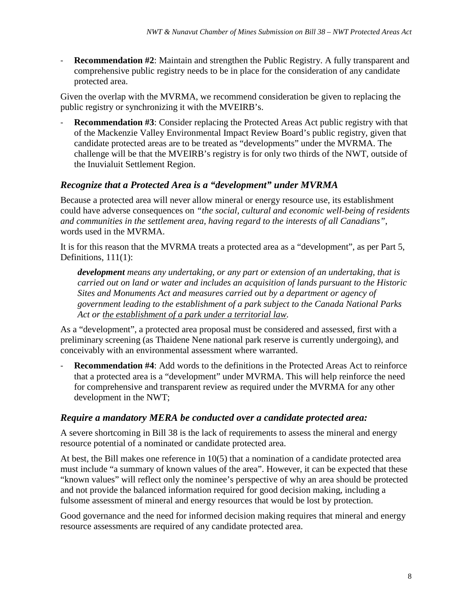- **Recommendation #2**: Maintain and strengthen the Public Registry. A fully transparent and comprehensive public registry needs to be in place for the consideration of any candidate protected area.

Given the overlap with the MVRMA, we recommend consideration be given to replacing the public registry or synchronizing it with the MVEIRB's.

**Recommendation #3**: Consider replacing the Protected Areas Act public registry with that of the Mackenzie Valley Environmental Impact Review Board's public registry, given that candidate protected areas are to be treated as "developments" under the MVRMA. The challenge will be that the MVEIRB's registry is for only two thirds of the NWT, outside of the Inuvialuit Settlement Region.

# <span id="page-9-0"></span>*Recognize that a Protected Area is a "development" under MVRMA*

Because a protected area will never allow mineral or energy resource use, its establishment could have adverse consequences on *"the social, cultural and economic well-being of residents and communities in the settlement area, having regard to the interests of all Canadians"*, words used in the MVRMA.

It is for this reason that the MVRMA treats a protected area as a "development", as per Part 5, Definitions, 111(1):

*development means any undertaking, or any part or extension of an undertaking, that is carried out on land or water and includes an acquisition of lands pursuant to the Historic Sites and Monuments Act and measures carried out by a department or agency of government leading to the establishment of a park subject to the Canada National Parks Act or the establishment of a park under a territorial law.*

As a "development", a protected area proposal must be considered and assessed, first with a preliminary screening (as Thaidene Nene national park reserve is currently undergoing), and conceivably with an environmental assessment where warranted.

- **Recommendation #4**: Add words to the definitions in the Protected Areas Act to reinforce that a protected area is a "development" under MVRMA. This will help reinforce the need for comprehensive and transparent review as required under the MVRMA for any other development in the NWT;

## <span id="page-9-1"></span>*Require a mandatory MERA be conducted over a candidate protected area:*

A severe shortcoming in Bill 38 is the lack of requirements to assess the mineral and energy resource potential of a nominated or candidate protected area.

At best, the Bill makes one reference in  $10(5)$  that a nomination of a candidate protected area must include "a summary of known values of the area". However, it can be expected that these "known values" will reflect only the nominee's perspective of why an area should be protected and not provide the balanced information required for good decision making, including a fulsome assessment of mineral and energy resources that would be lost by protection.

Good governance and the need for informed decision making requires that mineral and energy resource assessments are required of any candidate protected area.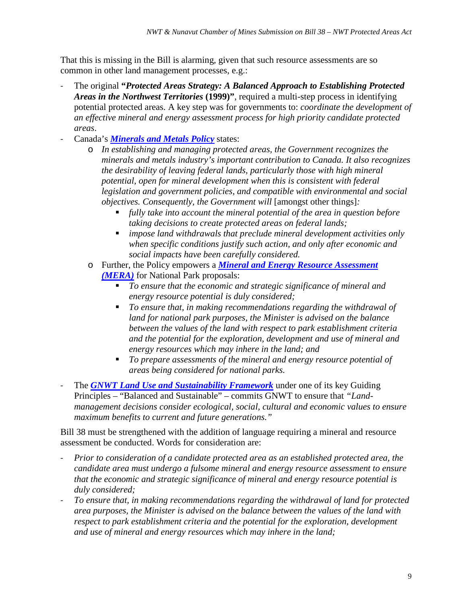That this is missing in the Bill is alarming, given that such resource assessments are so common in other land management processes, e.g.:

- The original **"***Protected Areas Strategy: A Balanced Approach to Establishing Protected Areas in the Northwest Territories* **(1999)"**, required a multi-step process in identifying potential protected areas. A key step was for governments to: *coordinate the development of an effective mineral and energy assessment process for high priority candidate protected areas*.
- Canada's *[Minerals and Metals Policy](https://www.nrcan.gc.ca/mining-materials/policy/8690)* states:
	- o *In establishing and managing protected areas, the Government recognizes the minerals and metals industry's important contribution to Canada. It also recognizes the desirability of leaving federal lands, particularly those with high mineral potential, open for mineral development when this is consistent with federal legislation and government policies, and compatible with environmental and social objectives. Consequently, the Government will* [amongst other things]*:*
		- *fully take into account the mineral potential of the area in question before taking decisions to create protected areas on federal lands;*
		- *impose land withdrawals that preclude mineral development activities only when specific conditions justify such action, and only after economic and social impacts have been carefully considered.*
	- o Further, the Policy empowers a *[Mineral and Energy Resource Assessment](https://www.nrcan.gc.ca/mining-materials/policy/government-canada/8724)  [\(MERA\)](https://www.nrcan.gc.ca/mining-materials/policy/government-canada/8724)* for National Park proposals:
		- *To ensure that the economic and strategic significance of mineral and energy resource potential is duly considered;*
		- *To ensure that, in making recommendations regarding the withdrawal of land for national park purposes, the Minister is advised on the balance between the values of the land with respect to park establishment criteria and the potential for the exploration, development and use of mineral and energy resources which may inhere in the land; and*
		- *To prepare assessments of the mineral and energy resource potential of areas being considered for national parks.*
- The **[GNWT Land Use and Sustainability Framework](https://www.lands.gov.nt.ca/en/land-use-and-sustainability-framework-0)** under one of its key Guiding Principles – "Balanced and Sustainable" – commits GNWT to ensure that *"Landmanagement decisions consider ecological, social, cultural and economic values to ensure maximum benefits to current and future generations."*

Bill 38 must be strengthened with the addition of language requiring a mineral and resource assessment be conducted. Words for consideration are:

- *Prior to consideration of a candidate protected area as an established protected area, the candidate area must undergo a fulsome mineral and energy resource assessment to ensure that the economic and strategic significance of mineral and energy resource potential is duly considered;*
- *To ensure that, in making recommendations regarding the withdrawal of land for protected area purposes, the Minister is advised on the balance between the values of the land with respect to park establishment criteria and the potential for the exploration, development and use of mineral and energy resources which may inhere in the land;*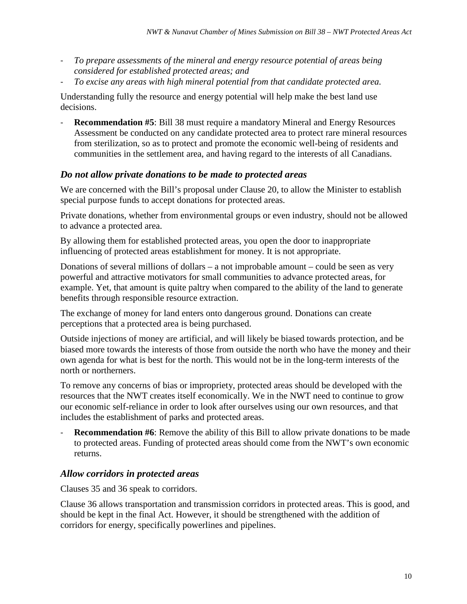- *To prepare assessments of the mineral and energy resource potential of areas being considered for established protected areas; and*
- *To excise any areas with high mineral potential from that candidate protected area.*

Understanding fully the resource and energy potential will help make the best land use decisions.

- **Recommendation #5**: Bill 38 must require a mandatory Mineral and Energy Resources Assessment be conducted on any candidate protected area to protect rare mineral resources from sterilization, so as to protect and promote the economic well-being of residents and communities in the settlement area, and having regard to the interests of all Canadians.

# <span id="page-11-0"></span>*Do not allow private donations to be made to protected areas*

We are concerned with the Bill's proposal under Clause 20, to allow the Minister to establish special purpose funds to accept donations for protected areas.

Private donations, whether from environmental groups or even industry, should not be allowed to advance a protected area.

By allowing them for established protected areas, you open the door to inappropriate influencing of protected areas establishment for money. It is not appropriate.

Donations of several millions of dollars – a not improbable amount – could be seen as very powerful and attractive motivators for small communities to advance protected areas, for example. Yet, that amount is quite paltry when compared to the ability of the land to generate benefits through responsible resource extraction.

The exchange of money for land enters onto dangerous ground. Donations can create perceptions that a protected area is being purchased.

Outside injections of money are artificial, and will likely be biased towards protection, and be biased more towards the interests of those from outside the north who have the money and their own agenda for what is best for the north. This would not be in the long-term interests of the north or northerners.

To remove any concerns of bias or impropriety, protected areas should be developed with the resources that the NWT creates itself economically. We in the NWT need to continue to grow our economic self-reliance in order to look after ourselves using our own resources, and that includes the establishment of parks and protected areas.

**Recommendation** #6: Remove the ability of this Bill to allow private donations to be made to protected areas. Funding of protected areas should come from the NWT's own economic returns.

# <span id="page-11-1"></span>*Allow corridors in protected areas*

Clauses 35 and 36 speak to corridors.

Clause 36 allows transportation and transmission corridors in protected areas. This is good, and should be kept in the final Act. However, it should be strengthened with the addition of corridors for energy, specifically powerlines and pipelines.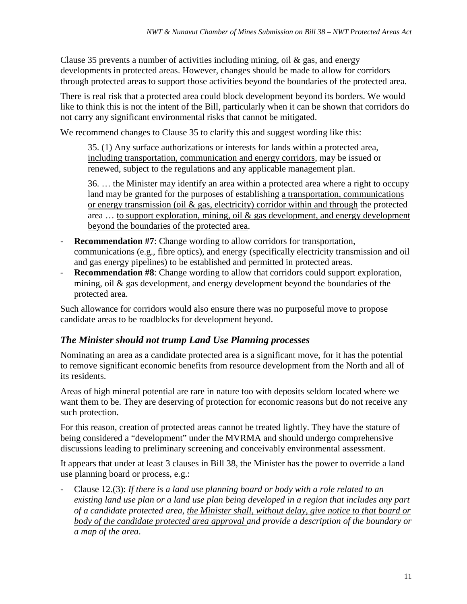Clause 35 prevents a number of activities including mining, oil  $\&$  gas, and energy developments in protected areas. However, changes should be made to allow for corridors through protected areas to support those activities beyond the boundaries of the protected area.

There is real risk that a protected area could block development beyond its borders. We would like to think this is not the intent of the Bill, particularly when it can be shown that corridors do not carry any significant environmental risks that cannot be mitigated.

We recommend changes to Clause 35 to clarify this and suggest wording like this:

35. (1) Any surface authorizations or interests for lands within a protected area, including transportation, communication and energy corridors, may be issued or renewed, subject to the regulations and any applicable management plan.

36. … the Minister may identify an area within a protected area where a right to occupy land may be granted for the purposes of establishing a transportation, communications or energy transmission (oil & gas, electricity) corridor within and through the protected area … to support exploration, mining, oil & gas development, and energy development beyond the boundaries of the protected area.

- **Recommendation #7**: Change wording to allow corridors for transportation, communications (e.g., fibre optics), and energy (specifically electricity transmission and oil and gas energy pipelines) to be established and permitted in protected areas.
- **Recommendation #8**: Change wording to allow that corridors could support exploration, mining, oil & gas development, and energy development beyond the boundaries of the protected area.

Such allowance for corridors would also ensure there was no purposeful move to propose candidate areas to be roadblocks for development beyond.

# <span id="page-12-0"></span>*The Minister should not trump Land Use Planning processes*

Nominating an area as a candidate protected area is a significant move, for it has the potential to remove significant economic benefits from resource development from the North and all of its residents.

Areas of high mineral potential are rare in nature too with deposits seldom located where we want them to be. They are deserving of protection for economic reasons but do not receive any such protection.

For this reason, creation of protected areas cannot be treated lightly. They have the stature of being considered a "development" under the MVRMA and should undergo comprehensive discussions leading to preliminary screening and conceivably environmental assessment.

It appears that under at least 3 clauses in Bill 38, the Minister has the power to override a land use planning board or process, e.g.:

- Clause 12.(3): *If there is a land use planning board or body with a role related to an existing land use plan or a land use plan being developed in a region that includes any part of a candidate protected area, the Minister shall, without delay, give notice to that board or body of the candidate protected area approval and provide a description of the boundary or a map of the area*.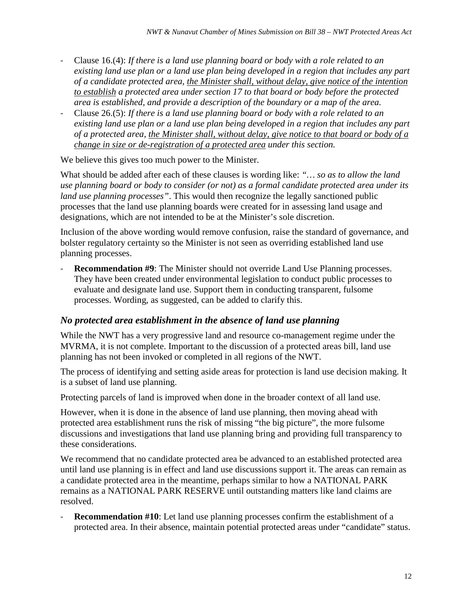- Clause 16.(4): *If there is a land use planning board or body with a role related to an existing land use plan or a land use plan being developed in a region that includes any part of a candidate protected area, the Minister shall, without delay, give notice of the intention to establish a protected area under section 17 to that board or body before the protected area is established, and provide a description of the boundary or a map of the area.*
- Clause 26.(5): *If there is a land use planning board or body with a role related to an existing land use plan or a land use plan being developed in a region that includes any part of a protected area, the Minister shall, without delay, give notice to that board or body of a change in size or de-registration of a protected area under this section.*

We believe this gives too much power to the Minister.

What should be added after each of these clauses is wording like: *"… so as to allow the land use planning board or body to consider (or not) as a formal candidate protected area under its land use planning processes"*. This would then recognize the legally sanctioned public processes that the land use planning boards were created for in assessing land usage and designations, which are not intended to be at the Minister's sole discretion.

Inclusion of the above wording would remove confusion, raise the standard of governance, and bolster regulatory certainty so the Minister is not seen as overriding established land use planning processes.

**Recommendation #9:** The Minister should not override Land Use Planning processes. They have been created under environmental legislation to conduct public processes to evaluate and designate land use. Support them in conducting transparent, fulsome processes. Wording, as suggested, can be added to clarify this.

#### <span id="page-13-0"></span>*No protected area establishment in the absence of land use planning*

While the NWT has a very progressive land and resource co-management regime under the MVRMA, it is not complete. Important to the discussion of a protected areas bill, land use planning has not been invoked or completed in all regions of the NWT.

The process of identifying and setting aside areas for protection is land use decision making. It is a subset of land use planning.

Protecting parcels of land is improved when done in the broader context of all land use.

However, when it is done in the absence of land use planning, then moving ahead with protected area establishment runs the risk of missing "the big picture", the more fulsome discussions and investigations that land use planning bring and providing full transparency to these considerations.

We recommend that no candidate protected area be advanced to an established protected area until land use planning is in effect and land use discussions support it. The areas can remain as a candidate protected area in the meantime, perhaps similar to how a NATIONAL PARK remains as a NATIONAL PARK RESERVE until outstanding matters like land claims are resolved.

- **Recommendation #10**: Let land use planning processes confirm the establishment of a protected area. In their absence, maintain potential protected areas under "candidate" status.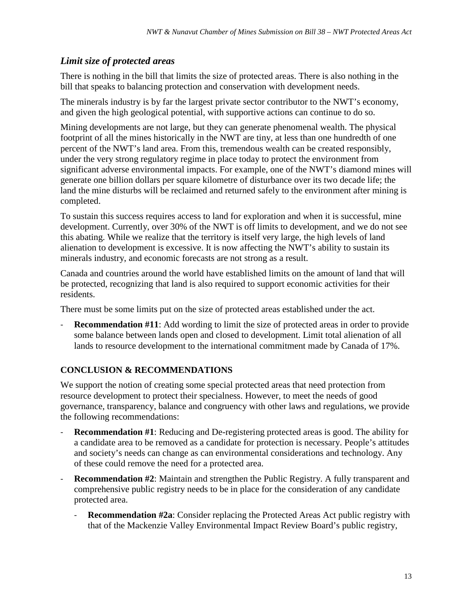# <span id="page-14-0"></span>*Limit size of protected areas*

There is nothing in the bill that limits the size of protected areas. There is also nothing in the bill that speaks to balancing protection and conservation with development needs.

The minerals industry is by far the largest private sector contributor to the NWT's economy, and given the high geological potential, with supportive actions can continue to do so.

Mining developments are not large, but they can generate phenomenal wealth. The physical footprint of all the mines historically in the NWT are tiny, at less than one hundredth of one percent of the NWT's land area. From this, tremendous wealth can be created responsibly, under the very strong regulatory regime in place today to protect the environment from significant adverse environmental impacts. For example, one of the NWT's diamond mines will generate one billion dollars per square kilometre of disturbance over its two decade life; the land the mine disturbs will be reclaimed and returned safely to the environment after mining is completed.

To sustain this success requires access to land for exploration and when it is successful, mine development. Currently, over 30% of the NWT is off limits to development, and we do not see this abating. While we realize that the territory is itself very large, the high levels of land alienation to development is excessive. It is now affecting the NWT's ability to sustain its minerals industry, and economic forecasts are not strong as a result.

Canada and countries around the world have established limits on the amount of land that will be protected, recognizing that land is also required to support economic activities for their residents.

There must be some limits put on the size of protected areas established under the act.

**Recommendation #11**: Add wording to limit the size of protected areas in order to provide some balance between lands open and closed to development. Limit total alienation of all lands to resource development to the international commitment made by Canada of 17%.

# <span id="page-14-1"></span>**CONCLUSION & RECOMMENDATIONS**

We support the notion of creating some special protected areas that need protection from resource development to protect their specialness. However, to meet the needs of good governance, transparency, balance and congruency with other laws and regulations, we provide the following recommendations:

- **Recommendation #1**: Reducing and De-registering protected areas is good. The ability for a candidate area to be removed as a candidate for protection is necessary. People's attitudes and society's needs can change as can environmental considerations and technology. Any of these could remove the need for a protected area.
- **Recommendation #2**: Maintain and strengthen the Public Registry. A fully transparent and comprehensive public registry needs to be in place for the consideration of any candidate protected area.
	- **Recommendation #2a**: Consider replacing the Protected Areas Act public registry with that of the Mackenzie Valley Environmental Impact Review Board's public registry,